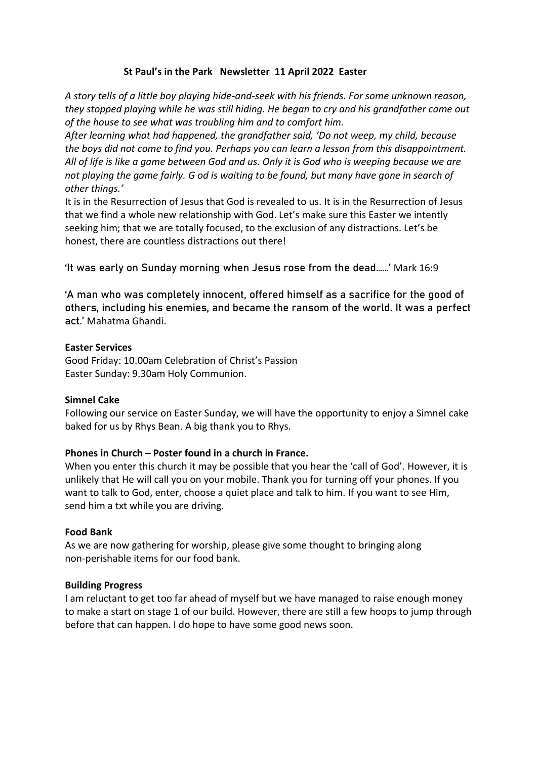## **St Paul's in the Park Newsletter 11 April 2022 Easter**

*A story tells of a little boy playing hide-and-seek with his friends. For some unknown reason, they stopped playing while he was still hiding. He began to cry and his grandfather came out of the house to see what was troubling him and to comfort him.*

*After learning what had happened, the grandfather said, 'Do not weep, my child, because the boys did not come to find you. Perhaps you can learn a lesson from this disappointment. All of life is like a game between God and us. Only it is God who is weeping because we are not playing the game fairly. G od is waiting to be found, but many have gone in search of other things.'*

It is in the Resurrection of Jesus that God is revealed to us. It is in the Resurrection of Jesus that we find a whole new relationship with God. Let's make sure this Easter we intently seeking him; that we are totally focused, to the exclusion of any distractions. Let's be honest, there are countless distractions out there!

'It was early on Sunday morning when Jesus rose from the dead……' Mark 16:9

'A man who was completely innocent, offered himself as a sacrifice for the good of others, including his enemies, and became the ransom of the world. It was a perfect act.' Mahatma Ghandi.

#### **Easter Services**

Good Friday: 10.00am Celebration of Christ's Passion Easter Sunday: 9.30am Holy Communion.

### **Simnel Cake**

Following our service on Easter Sunday, we will have the opportunity to enjoy a Simnel cake baked for us by Rhys Bean. A big thank you to Rhys.

### **Phones in Church – Poster found in a church in France.**

When you enter this church it may be possible that you hear the 'call of God'. However, it is unlikely that He will call you on your mobile. Thank you for turning off your phones. If you want to talk to God, enter, choose a quiet place and talk to him. If you want to see Him, send him a txt while you are driving.

#### **Food Bank**

As we are now gathering for worship, please give some thought to bringing along non-perishable items for our food bank.

#### **Building Progress**

I am reluctant to get too far ahead of myself but we have managed to raise enough money to make a start on stage 1 of our build. However, there are still a few hoops to jump through before that can happen. I do hope to have some good news soon.